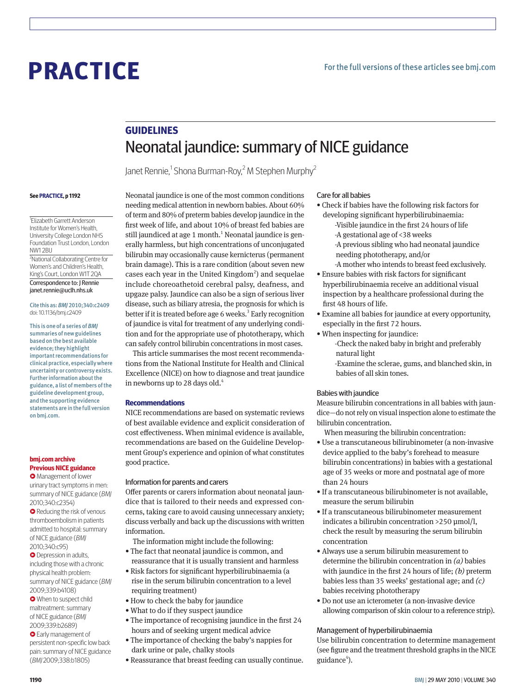# **PRACTICE** For the full versions of these articles see bmj.com

## **Guidelines** Neonatal jaundice: summary of NICE guidance

Janet Rennie,<sup>1</sup> Shona Burman-Roy,<sup>2</sup> M Stephen Murphy<sup>2</sup>

#### **See practice, p 1192**

1 Elizabeth Garrett Anderson Institute for Women's Health, University College London NHS Foundation Trust London, London NW1 2BU

<sup>2</sup>National Collaborating Centre for Women's and Children's Health, King's Court, London W1T 2QA

Correspondence to: J Rennie janet.rennie@uclh.nhs.uk

Cite this as: *BMJ* 2010;340:c2409 doi: 10.1136/bmj.c2409

This is one of a series of *BMJ* summaries of new guidelines based on the best available evidence; they highlight important recommendations for clinical practice, especially where uncertainty or controversy exists. Further information about the guidance, a list of members of the guideline development group, and the supporting evidence statements are in the full version on bmj.com.

## **bmj.com archive Previous NICE guidance**

**• Management of lower** urinary tract symptoms in men: summary of NICE guidance (BMJ 2010;340:c2354)

**•** Reducing the risk of venous thromboembolism in patients admitted to hospital: summary of NICE guidance (BMJ 2010;340:c95)

**• Depression in adults,** including those with a chronic physical health problem: summary of NICE guidance (BMJ 2009;339:b4108)

**•** When to suspect child maltreatment: summary of NICE guidance (BMJ 2009;339:b2689)

**•** Early management of persistent non-specific low back pain: summary of NICE guidance (BMJ 2009;338:b1805)

Neonatal jaundice is one of the most common conditions needing medical attention in newborn babies. About 60% of term and 80% of preterm babies develop jaundice in the first week of life, and about 10% of breast fed babies are still jaundiced at age 1 month.<sup>1</sup> Neonatal jaundice is generally harmless, but high concentrations of unconjugated bilirubin may occasionally cause kernicterus (permanent brain damage). This is a rare condition (about seven new cases each year in the United Kingdom<sup>2</sup>) and sequelae include choreoathetoid cerebral palsy, deafness, and upgaze palsy. Jaundice can also be a sign of serious liver disease, such as biliary atresia, the prognosis for which is better if it is treated before age 6 weeks.<sup>3</sup> Early recognition of jaundice is vital for treatment of any underlying condition and for the appropriate use of phototherapy, which can safely control bilirubin concentrations in most cases.

This article summarises the most recent recommendations from the National Institute for Health and Clinical Excellence (NICE) on how to diagnose and treat jaundice in newborns up to 28 days old.<sup>4</sup>

#### **Recommendations**

NICE recommendations are based on systematic reviews of best available evidence and explicit consideration of cost effectiveness. When minimal evidence is available, recommendations are based on the Guideline Development Group's experience and opinion of what constitutes good practice.

#### Information for parents and carers

Offer parents or carers information about neonatal jaundice that is tailored to their needs and expressed concerns, taking care to avoid causing unnecessary anxiety; discuss verbally and back up the discussions with written information.

The information might include the following:

- The fact that neonatal jaundice is common, and reassurance that it is usually transient and harmless
- Risk factors for significant hyperbilirubinaemia (a rise in the serum bilirubin concentration to a level requiring treatment)
- How to check the baby for jaundice
- What to do if they suspect jaundice
- The importance of recognising jaundice in the first 24 hours and of seeking urgent medical advice
- The importance of checking the baby's nappies for dark urine or pale, chalky stools
- Reassurance that breast feeding can usually continue.

#### Care for all babies

- Check if babies have the following risk factors for developing significant hyperbilirubinaemia:
	- -Visible jaundice in the first 24 hours of life -A gestational age of <38 weeks -A previous sibling who had neonatal jaundice needing phototherapy, and/or

-A mother who intends to breast feed exclusively.

- Ensure babies with risk factors for significant hyperbilirubinaemia receive an additional visual inspection by a healthcare professional during the first 48 hours of life.
- Examine all babies for jaundice at every opportunity, especially in the first 72 hours.
- When inspecting for jaundice: -Check the naked baby in bright and preferably natural light
	- -Examine the sclerae, gums, and blanched skin, in babies of all skin tones.

#### Babies with jaundice

Measure bilirubin concentrations in all babies with jaundice—do not rely on visual inspection alone to estimate the bilirubin concentration.

When measuring the bilirubin concentration:

- Use a transcutaneous bilirubinometer (a non-invasive device applied to the baby's forehead to measure bilirubin concentrations) in babies with a gestational age of 35 weeks or more and postnatal age of more than 24 hours
- If a transcutaneous bilirubinometer is not available, measure the serum bilirubin
- If a transcutaneous bilirubinometer measurement indicates a bilirubin concentration >250 μmol/l, check the result by measuring the serum bilirubin concentration
- Always use a serum bilirubin measurement to determine the bilirubin concentration in *(a)* babies with jaundice in the first 24 hours of life; *(b)* preterm babies less than 35 weeks' gestational age; and *(c)* babies receiving phototherapy
- Do not use an icterometer (a non-invasive device allowing comparison of skin colour to a reference strip).

#### Management of hyperbilirubinaemia

Use bilirubin concentration to determine management (see figure and the treatment threshold graphs in the NICE guidance<sup>4</sup>).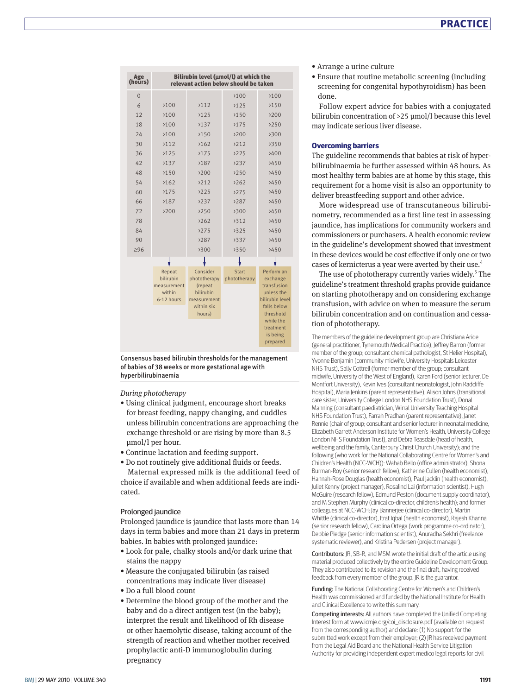| Age<br>(hours) | Bilirubin level (umol/l) at which the<br>relevant action below should be taken |                                                                                         |                              |                                                                                                                                                      |
|----------------|--------------------------------------------------------------------------------|-----------------------------------------------------------------------------------------|------------------------------|------------------------------------------------------------------------------------------------------------------------------------------------------|
| $\Omega$       |                                                                                |                                                                                         | 2100                         | 2100                                                                                                                                                 |
| 6              | 2100                                                                           | 2112                                                                                    | 5125                         | >150                                                                                                                                                 |
| 12             | 2100                                                                           | 5125                                                                                    | 2150                         | 200                                                                                                                                                  |
| 18             | 2100                                                                           | 5137                                                                                    | >175                         | 250                                                                                                                                                  |
| 24             | >100                                                                           | >150                                                                                    | 200                          | >300                                                                                                                                                 |
| 30             | 2112                                                                           | 2162                                                                                    | 2212                         | 350                                                                                                                                                  |
| 36             | 2125                                                                           | 2175                                                                                    | 225                          | 2400                                                                                                                                                 |
| 42             | >137                                                                           | 5187                                                                                    | 237                          | 3450                                                                                                                                                 |
| 48             | >150                                                                           | 200                                                                                     | 250                          | 3450                                                                                                                                                 |
| 54             | 2162                                                                           | 212                                                                                     | 262                          | 3450                                                                                                                                                 |
| 60             | >175                                                                           | 225                                                                                     | 275                          | 3450                                                                                                                                                 |
| 66             | 2187                                                                           | 237                                                                                     | 287                          | 3450                                                                                                                                                 |
| 72             | 200                                                                            | 250                                                                                     | 300                          | 3450                                                                                                                                                 |
| 78             |                                                                                | 262                                                                                     | 3312                         | 2450                                                                                                                                                 |
| 84             |                                                                                | 275                                                                                     | 325                          | 3450                                                                                                                                                 |
| 90             |                                                                                | 287                                                                                     | 337                          | 2450                                                                                                                                                 |
| $\geq 96$      |                                                                                | >300                                                                                    | 350                          | 3450                                                                                                                                                 |
|                |                                                                                |                                                                                         |                              |                                                                                                                                                      |
|                | Repeat<br>bilirubin<br>measurement<br>within<br>6-12 hours                     | Consider<br>phototherapy<br>(repeat<br>bilirubin<br>measurement<br>within six<br>hours) | <b>Start</b><br>phototherapy | Perform an<br>exchange<br>transfusion<br>unless the<br>bilirubin level<br>falls below<br>threshold<br>while the<br>treatment<br>is being<br>prepared |

Consensus based bilirubin thresholds for the management of babies of 38 weeks or more gestational age with hyperbilirubinaemia

*During phototherapy*

- Using clinical judgment, encourage short breaks for breast feeding, nappy changing, and cuddles unless bilirubin concentrations are approaching the exchange threshold or are rising by more than 8.5 μmol/l per hour.
- Continue lactation and feeding support.
- Do not routinely give additional fluids or feeds. Maternal expressed milk is the additional feed of

choice if available and when additional feeds are indicated.

#### Prolonged jaundice

Prolonged jaundice is jaundice that lasts more than 14 days in term babies and more than 21 days in preterm babies. In babies with prolonged jaundice:

- Look for pale, chalky stools and/or dark urine that stains the nappy
- Measure the conjugated bilirubin (as raised concentrations may indicate liver disease)
- Do a full blood count
- Determine the blood group of the mother and the baby and do a direct antigen test (in the baby); interpret the result and likelihood of Rh disease or other haemolytic disease, taking account of the strength of reaction and whether mother received prophylactic anti-D immunoglobulin during pregnancy
- Arrange a urine culture
- Ensure that routine metabolic screening (including screening for congenital hypothyroidism) has been done.

Follow expert advice for babies with a conjugated bilirubin concentration of >25 μmol/l because this level may indicate serious liver disease.

#### **Overcoming barriers**

The guideline recommends that babies at risk of hyperbilirubinaemia be further assessed within 48 hours. As most healthy term babies are at home by this stage, this requirement for a home visit is also an opportunity to deliver breastfeeding support and other advice.

More widespread use of transcutaneous bilirubinometry, recommended as a first line test in assessing jaundice, has implications for community workers and commissioners or purchasers. A health economic review in the guideline's development showed that investment in these devices would be cost effective if only one or two cases of kernicterus a year were averted by their use.<sup>4</sup>

The use of phototherapy currently varies widely.<sup>5</sup> The guideline's treatment threshold graphs provide guidance on starting phototherapy and on considering exchange transfusion, with advice on when to measure the serum bilirubin concentration and on continuation and cessation of phototherapy.

The members of the guideline development group are Christiana Aride (general practitioner, Tynemouth Medical Practice), Jeffrey Barron (former member of the group; consultant chemical pathologist, St Helier Hospital), Yvonne Benjamin (community midwife, University Hospitals Leicester NHS Trust), Sally Cottrell (former member of the group; consultant midwife, University of the West of England), Karen Ford (senior lecturer, De Montfort University), Kevin Ives (consultant neonatologist, John Radcliffe Hospital), Maria Jenkins (parent representative), Alison Johns (transitional care sister, University College London NHS Foundation Trust), Donal Manning (consultant paediatrician, Wirral University Teaching Hospital NHS Foundation Trust), Farrah Pradhan (parent representative), Janet Rennie (chair of group; consultant and senior lecturer in neonatal medicine, Elizabeth Garrett Anderson Institute for Women's Health, University College London NHS Foundation Trust), and Debra Teasdale (head of health, wellbeing and the family, Canterbury Christ Church University); and the following (who work for the National Collaborating Centre for Women's and Children's Health (NCC-WCH)): Wahab Bello (office administrator), Shona Burman-Roy (senior research fellow), Katherine Cullen (health economist), Hannah-Rose Douglas (health economist), Paul Jacklin (health economist), Juliet Kenny (project manager), Rosalind Lai (information scientist), Hugh McGuire (research fellow), Edmund Peston (document supply coordinator), and M Stephen Murphy (clinical co-director, children's health); and former colleagues at NCC-WCH: Jay Bannerjee (clinical co-director), Martin Whittle (clinical co-director), Itrat Iqbal (health economist), Rajesh Khanna (senior research fellow), Carolina Ortega (work programme co-ordinator), Debbie Pledge (senior information scientist), Anuradha Sekhri (freelance systematic reviewer), and Kristina Pedersen (project manager).

Contributors: JR, SB-R, and MSM wrote the initial draft of the article using material produced collectively by the entire Guideline Development Group. They also contributed to its revision and the final draft, having received feedback from every member of the group. JR is the guarantor.

Funding: The National Collaborating Centre for Women's and Children's Health was commissioned and funded by the National Institute for Health and Clinical Excellence to write this summary.

Competing interests: All authors have completed the Unified Competing Interest form at www.icmje.org/coi\_disclosure.pdf (available on request from the corresponding author) and declare: (1) No support for the submitted work except from their employer; (2) JR has received payment from the Legal Aid Board and the National Health Service Litigation Authority for providing independent expert medico legal reports for civil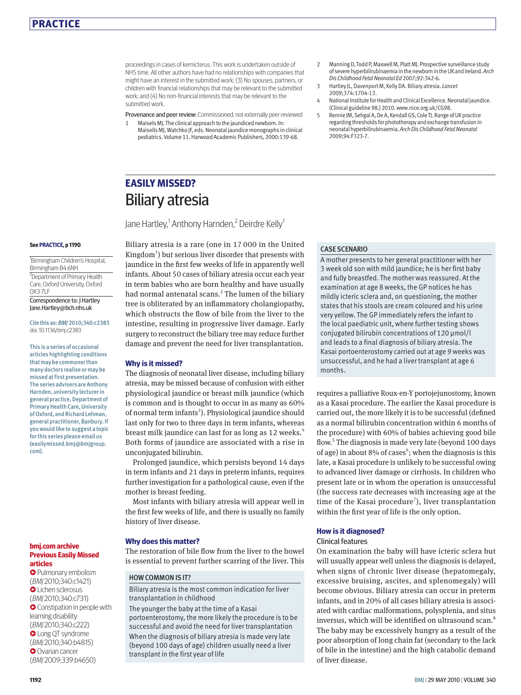proceedings in cases of kernicterus. This work is undertaken outside of NHS time. All other authors have had no relationships with companies that might have an interest in the submitted work; (3) No spouses, partners, or children with financial relationships that may be relevant to the submitted work; and (4) No non-financial interests that may be relevant to the submitted work.

Provenance and peer review: Commissioned; not externally peer reviewed

- 
- 1 Maisels MJ. The clinical approach to the jaundiced newborn. In: Maisells MJ, Watchko JF, eds. Neonatal jaundice monographs in clinical
	- pediatrics. Volume 11. Harwood Academic Publishers, 2000:139-68.
- 2 Manning D, Todd P, Maxwell M, Platt MJ. Prospective surveillance study of severe hyperbilirubinaemia in the newborn in the UK and Ireland. *Arch Dis Childhood Fetal Neonatal Ed* 2007;92:342-6.
- 3 Hartley JL, Davenport M, Kelly DA. Biliary atresia. *Lancet* 2009;374:1704-13.
- 4 National Institute for Health and Clinical Excellence. Neonatal jaundice. (Clinical guideline 98.) 2010. www.nice.org.uk/CG98.
- 5 Rennie JM, Sehgal A, De A, Kendall GS, Cole TJ. Range of UK practice regarding thresholds for phototherapy and exchange transfusion in neonatal hyperbilirubinaemia. *Arch Dis Childhood Fetal Neonatal* 2009;94:F323-7.

# **Easily Missed?** Biliary atresia

Jane Hartley,<sup>1</sup> Anthony Harnden,<sup>2</sup> Deirdre Kelly<sup>1</sup>

1 Birmingham Children's Hospital, Birmingham B4 6NH 2 Department of Primary Health Care, Oxford University, Oxford OX3 7LF Correspondence to: J Hartley

Jane.Hartley@bch.nhs.uk

Cite this as: *BMJ* 2010;340:c2383 doi: 10.1136/bmj.c2383

This is a series of occasional articles highlighting conditions that may be commoner than many doctors realise or may be missed at first presentation. The series advisers are Anthony Harnden, university lecturer in general practice, Department of Primary Health Care, University of Oxford, and Richard Lehman, general practitioner, Banbury. If you would like to suggest a topic for this series please email us (easilymissed.bmj@bmjgroup. com).

#### **bmj.com archive Previous Easily Missed articles**

**•** Pulmonary embolism (BMJ 2010;340:c1421) **• Lichen sclerosus** (BMJ 2010;340:c731) **• Constipation in people with** learning disability (BMJ 2010;340:c222) **•** Long QT syndrome (BMJ 2010;340:b4815) **O** Ovarian cancer (BMJ 2009;339:b4650)

**See PRACTICE, p 1190** Biliary atresia is a rare (one in 17 000 in the United CASE SCENA Kingdom $^1$ ) but serious liver disorder that presents with jaundice in the first few weeks of life in apparently well infants. About 50 cases of biliary atresia occur each year in term babies who are born healthy and have usually had normal antenatal scans.<sup>2</sup> The lumen of the biliary tree is obliterated by an inflammatory cholangiopathy, which obstructs the flow of bile from the liver to the intestine, resulting in progressive liver damage. Early surgery to reconstruct the biliary tree may reduce further damage and prevent the need for liver transplantation.

#### **Why is it missed?**

The diagnosis of neonatal liver disease, including biliary atresia, may be missed because of confusion with either physiological jaundice or breast milk jaundice (which is common and is thought to occur in as many as 60% of normal term infants<sup>3</sup>). Physiological jaundice should last only for two to three days in term infants, whereas breast milk jaundice can last for as long as 12 weeks.<sup>4</sup> Both forms of jaundice are associated with a rise in unconjugated bilirubin.

Prolonged jaundice, which persists beyond 14 days in term infants and 21 days in preterm infants, requires further investigation for a pathological cause, even if the mother is breast feeding.

Most infants with biliary atresia will appear well in the first few weeks of life, and there is usually no family history of liver disease.

#### **Why does this matter?**

The restoration of bile flow from the liver to the bowel is essential to prevent further scarring of the liver. This

#### How common is it?

Biliary atresia is the most common indication for liver transplantation in childhood

The younger the baby at the time of a Kasai portoenterostomy, the more likely the procedure is to be successful and avoid the need for liver transplantation When the diagnosis of biliary atresia is made very late (beyond 100 days of age) children usually need a liver transplant in the first year of life

A mother presents to her general practitioner with her 3 week old son with mild jaundice; he is her first baby and fully breastfed. The mother was reassured. At the examination at age 8 weeks, the GP notices he has mildly icteric sclera and, on questioning, the mother states that his stools are cream coloured and his urine very yellow. The GP immediately refers the infant to the local paediatric unit, where further testing shows conjugated bilirubin concentrations of 120 μmol/l and leads to a final diagnosis of biliary atresia. The Kasai portoenterostomy carried out at age 9 weeks was unsuccessful, and he had a liver transplant at age 6 months.

requires a palliative Roux-en-Y portojejunostomy, known as a Kasai procedure. The earlier the Kasai procedure is carried out, the more likely it is to be successful (defined as a normal bilirubin concentration within 6 months of the procedure) with 60% of babies achieving good bile flow.<sup>5</sup> The diagnosis is made very late (beyond 100 days of age) in about 8% of cases $\frac{6}{3}$ ; when the diagnosis is this late, a Kasai procedure is unlikely to be successful owing to advanced liver damage or cirrhosis. In children who present late or in whom the operation is unsuccessful (the success rate decreases with increasing age at the time of the Kasai procedure<sup>7</sup>), liver transplantation within the first year of life is the only option.

#### **How is it diagnosed?**

#### Clinical features

On examination the baby will have icteric sclera but will usually appear well unless the diagnosis is delayed, when signs of chronic liver disease (hepatomegaly, excessive bruising, ascites, and splenomegaly) will become obvious. Biliary atresia can occur in preterm infants, and in 20% of all cases biliary atresia is associated with cardiac malformations, polysplenia, and situs inversus, which will be identified on ultrasound scan.<sup>8</sup> The baby may be excessively hungry as a result of the poor absorption of long chain fat (secondary to the lack of bile in the intestine) and the high catabolic demand of liver disease.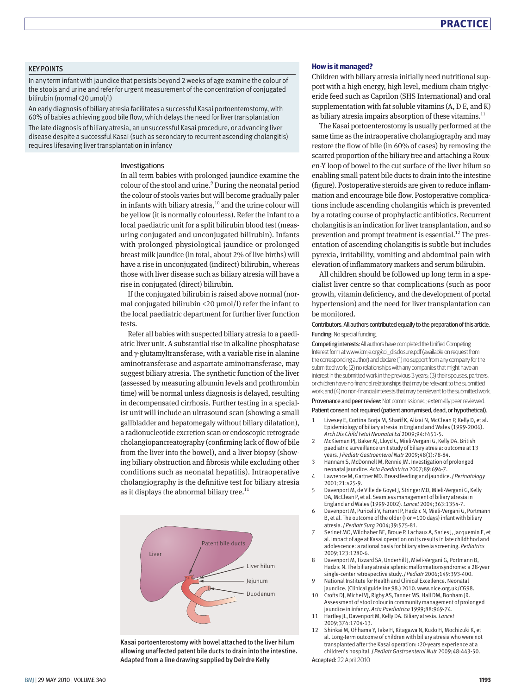#### Key points

In any term infant with jaundice that persists beyond 2 weeks of age examine the colour of the stools and urine and refer for urgent measurement of the concentration of conjugated bilirubin (normal <20 μmol/l)

An early diagnosis of biliary atresia facilitates a successful Kasai portoenterostomy, with 60% of babies achieving good bile flow, which delays the need for liver transplantation The late diagnosis of biliary atresia, an unsuccessful Kasai procedure, or advancing liver disease despite a successful Kasai (such as secondary to recurrent ascending cholangitis) requires lifesaving liver transplantation in infancy

#### Investigations

In all term babies with prolonged jaundice examine the colour of the stool and urine.<sup>9</sup> During the neonatal period the colour of stools varies but will become gradually paler in infants with biliary atresia, $^{10}$  and the urine colour will be yellow (it is normally colourless). Refer the infant to a local paediatric unit for a split bilirubin blood test (measuring conjugated and unconjugated bilirubin). Infants with prolonged physiological jaundice or prolonged breast milk jaundice (in total, about 2% of live births) will have a rise in unconjugated (indirect) bilirubin, whereas those with liver disease such as biliary atresia will have a rise in conjugated (direct) bilirubin.

If the conjugated bilirubin is raised above normal (normal conjugated bilirubin <20 μmol/l) refer the infant to the local paediatric department for further liver function tests.

Refer all babies with suspected biliary atresia to a paediatric liver unit. A substantial rise in alkaline phosphatase and γ-glutamyltransferase, with a variable rise in alanine aminotransferase and aspartate aminotransferase, may suggest biliary atresia. The synthetic function of the liver (assessed by measuring albumin levels and prothrombin time) will be normal unless diagnosis is delayed, resulting in decompensated cirrhosis. Further testing in a specialist unit will include an ultrasound scan (showing a small gallbladder and hepatomegaly without biliary dilatation), a radionucleotide excretion scan or endoscopic retrograde cholangiopancreatography (confirming lack of flow of bile from the liver into the bowel), and a liver biopsy (showing biliary obstruction and fibrosis while excluding other conditions such as neonatal hepatitis). Intraoperative cholangiography is the definitive test for biliary atresia as it displays the abnormal biliary tree. $11$ 



Kasai portoenterostomy with bowel attached to the liver hilum allowing unaffected patent bile ducts to drain into the intestine. Adapted from a line drawing supplied by Deirdre Kelly

#### **How is it managed?**

Children with biliary atresia initially need nutritional support with a high energy, high level, medium chain triglyceride feed such as Caprilon (SHS International) and oral supplementation with fat soluble vitamins (A, D E, and K) as biliary atresia impairs absorption of these vitamins. $^{11}$ 

The Kasai portoenterostomy is usually performed at the same time as the intraoperative cholangiography and may restore the flow of bile (in 60% of cases) by removing the scarred proportion of the biliary tree and attaching a Rouxen-Y loop of bowel to the cut surface of the liver hilum so enabling small patent bile ducts to drain into the intestine (figure). Postoperative steroids are given to reduce inflammation and encourage bile flow. Postoperative complications include ascending cholangitis which is prevented by a rotating course of prophylactic antibiotics. Recurrent cholangitis is an indication for liver transplantation, and so prevention and prompt treatment is essential.<sup>12</sup> The presentation of ascending cholangitis is subtle but includes pyrexia, irritability, vomiting and abdominal pain with elevation of inflammatory markers and serum bilirubin.

All children should be followed up long term in a specialist liver centre so that complications (such as poor growth, vitamin deficiency, and the development of portal hypertension) and the need for liver transplantation can be monitored.

#### Contributors. All authors contributed equally to the preparation of this article. Funding: No special funding.

Competing interests: All authors have completed the Unified Competing Interest form at www.icmje.org/coi\_disclosure.pdf (available on request from the corresponding author) and declare (1) no support from any company for the submitted work; (2) no relationships with any companies that might have an interest in the submitted work in the previous 3 years; (3) their spouses, partners, or children have no financial relationships that may be relevant to the submitted work; and (4) no non-financial interests that may be relevant to the submitted work.

Provenance and peer review: Not commissioned; externally peer reviewed.

Patient consent not required (patient anonymised, dead, or hypothetical).

- 1 Livesey E, Cortina Borja M, Sharif K, Alizai N, McClean P, Kelly D, et al. Epidemiology of biliary atresia in England and Wales (1999-2006). *Arch Dis Child Fetal Neonatal Ed* 2009;94:F451-5.
- 2 McKiernan PJ, Baker AJ, Lloyd C, Mieli-Vergani G, Kelly DA. British paediatric surveillance unit study of biliary atresia: outcome at 13 years. *J Pediatr Gastroenterol Nutr* 2009;48(1):78-84.
- 3 Hannam S, McDonnell M, Rennie JM. Investigation of prolonged neonatal jaundice. *Acta Paediatrica* 2007;89:694-7.
- 4 Lawrence M, Gartner MD. Breastfeeding and jaundice. *J Perinatology* 2001;21:s25-9.
- 5 Davenport M, de Ville de Goyet J, Stringer MD, Mieli-Vergani G, Kelly DA, McClean P, et al. Seamless management of biliary atresia in England and Wales (1999-2002). *Lancet* 2004;363:1354-7.
- 6 Davenport M, Puricelli V, Farrant P, Hadzic N, Mieli-Vergani G, Portmann B, et al. The outcome of the older ( $\delta$  or =100 days) infant with biliary atresia. *J Pediatr Surg* 2004;39:575-81.
- 7 Serinet MO, Wildhaber BE, Broue P, Lachaux A, Sarles J, Jacquemin E, et al. Impact of age at Kasai operation on its results in late childhhod and adolescence: a rational basis for biliary atresia screening. *Pediatrics* 2009;123:1280-6.
- Davenport M, Tizzard SA, Underhill J, Mieli-Vergani G, Portmann B, Hadzic N. The biliary atresia splenic malformationsyndrome: a 28-year single-center retrospective study. *J Pediatr* 2006;149:393-400.
- 9 National Institute for Health and Clinical Excellence. Neonatal jaundice. (Clinical guideline 98.) 2010. www.nice.org.uk/CG98.
- 10 Crofts DJ, Michel VJ, Rigby AS, Tanner MS, Hall DM, Bonham JR. Assessment of stool colour in community management of prolonged jaundice in infancy. *Acta Paediatrica* 1999;88:969-74.
- 11 Hartley JL, Davenport M, Kelly DA. Biliary atresia. *Lancet* 2009;374:1704-13.
- 12 Shinkai M, Ohhama Y, Take H, Kitagawa N, Kudo H, Mochizuki K, et al. Long-term outcome of children with biliary atresia who were not transplanted after the Kasai operation: >20-years experience at a children's hospital. *J Pediatr Gastroenterol Nutr* 2009;48:443-50.

Accepted: 22 April 2010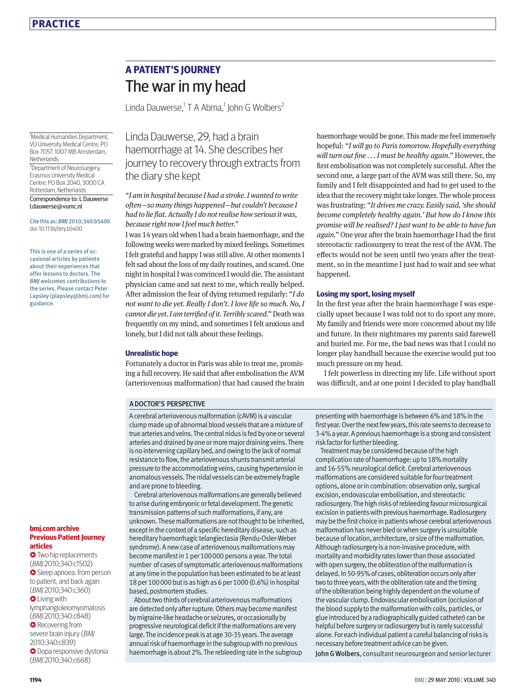# **A Patient's Journey** The war in my head

Linda Dauwerse,<sup>1</sup> T A Abma,<sup>1</sup> John G Wolbers<sup>2</sup>

<sup>1</sup>Medical Humanities Department, VU University Medical Centre, PO Box 7057, 1007 MB Amsterdam, Netherlands

2 Department of Neurosurgery, Erasmus University Medical Centre, PO Box 2040, 3000 CA Rotterdam, Netherlands

Correspondence to: L Dauwerse l.dauwerse@vumc.nl

Cite this as: *BMJ* 2010;340:b5400 doi: 10.1136/bmj.b5400

This is one of a series of occasional articles by patients about their experiences that offer lessons to doctors. The *BMJ* welcomes contributions to the series. Please contact Peter Lapsley (plapsley@bmj.com) for guidance.

Linda Dauwerse, 29, had a brain haemorrhage at 14. She describes her journey to recovery through extracts from the diary she kept

"*I am in hospital because I had a stroke. I wanted to write often—so many things happened—but couldn't because I had to lie flat. Actually I do not realise how serious it was, because right now I feel much better.*"

I was 14 years old when I had a brain haemorrhage, and the following weeks were marked by mixed feelings. Sometimes I felt grateful and happy I was still alive. At other moments I felt sad about the loss of my daily routines, and scared. One night in hospital I was convinced I would die. The assistant physician came and sat next to me, which really helped. After admission the fear of dying returned regularly: "*I do not want to die yet. Really I don't. I love life so much. No, I cannot die yet. I am terrified of it. Terribly scared.*" Death was frequently on my mind, and sometimes I felt anxious and lonely, but I did not talk about these feelings.

#### **Unrealistic hope**

Fortunately a doctor in Paris was able to treat me, promising a full recovery. He said that after embolisation the AVM (arteriovenous malformation) that had caused the brain haemorrhage would be gone. This made me feel immensely hopeful: "*I will go to Paris tomorrow. Hopefully everything will turn out fine . . . I must be healthy again*." However, the first embolisation was not completely successful. After the second one, a large part of the AVM was still there. So, my family and I felt disappointed and had to get used to the idea that the recovery might take longer. The whole process was frustrating: "*It drives me crazy. Easily said, 'she should become completely healthy again.' But how do I know this promise will be realised? I just want to be able to have fun again.*" One year after the brain haemorrhage I had the first stereotactic radiosurgery to treat the rest of the AVM. The effects would not be seen until two years after the treatment, so in the meantime I just had to wait and see what happened.

#### **Losing my sport, losing myself**

In the first year after the brain haemorrhage I was especially upset because I was told not to do sport any more. My family and friends were more concerned about my life and future. In their nightmares my parents said farewell and buried me. For me, the bad news was that I could no longer play handball because the exercise would put too much pressure on my head.

I felt powerless in directing my life. Life without sport was difficult, and at one point I decided to play handball

#### A doctor's perspective

A cerebral arteriovenous malformation (cAVM) is a vascular clump made up of abnormal blood vessels that are a mixture of true arteries and veins. The central nidus is fed by one or several arteries and drained by one or more major draining veins. There is no intervening capillary bed, and owing to the lack of normal resistance to flow, the arteriovenous shunts transmit arterial pressure to the accommodating veins, causing hypertension in anomalous vessels. The nidal vessels can be extremely fragile and are prone to bleeding.

Cerebral arteriovenous malformations are generally believed to arise during embryonic or fetal development. The genetic transmission patterns of such malformations, if any, are unknown. These malformations are not thought to be inherited, except in the context of a specific hereditary disease, such as hereditary haemorrhagic telangiectasia (Rendu-Osler-Weber syndrome). A new case of arteriovenous malformations may become manifest in 1 per 100000 persons a year. The total number of cases of symptomatic arteriovenous malformations at any time in the population has been estimated to be at least 18 per 100000 but is as high as 6 per 1000 (0.6%) in hospital based, postmortem studies.

About two thirds of cerebral arteriovenous malformations are detected only after rupture. Others may become manifest by migraine-like headache or seizures, or occasionally by progressive neurological deficit if the malformations are very large. The incidence peak is at age 30-35 years. The average annual risk of haemorrhage in the subgroup with no previous haemorrhage is about 2%. The rebleeding rate in the subgroup

presenting with haemorrhage is between 6% and 18% in the first year. Over the next few years, this rate seems to decrease to 3-4% a year. A previous haemorrhage is a strong and consistent risk factor for further bleeding.

Treatment may be considered because of the high complication rate of haemorrhage: up to 18% mortality and 16-55% neurological deficit. Cerebral arteriovenous malformations are considered suitable for four treatment options, alone or in combination: observation only, surgical excision, endovascular embolisation, and stereotactic radiosurgery. The high risks of rebleeding favour microsurgical excision in patients with previous haemorrhage. Radiosurgery may be the first choice in patients whose cerebral arteriovenous malformation has never bled or when surgery is unsuitable because of location, architecture, or size of the malformation. Although radiosurgery is a non-invasive procedure, with mortality and morbidity rates lower than those associated with open surgery, the obliteration of the malformation is delayed. In 50-95% of cases, obliteration occurs only after two to three years, with the obliteration rate and the timing of the obliteration being highly dependent on the volume of the vascular clump. Endovascular embolisation (occlusion of the blood supply to the malformation with coils, particles, or glue introduced by a radiographically guided catheter) can be helpful before surgery or radiosurgery but is rarely successful alone. For each individual patient a careful balancing of risks is necessary before treatment advice can be given.

John G Wolbers, consultant neurosurgeon and senior lecturer

#### **bmj.com archive Previous Patient Journey articles**

**•** Two hip replacements (BMJ 2010;340:c1502) **•** Sleep apnoea: from person to patient, and back again (BMJ 2010;340:c360) **•** Living with

lymphangioleiomyomatosis (BMJ 2010;340:c848)

**•** Recovering from severe brain injury (BMJ 2010;340:c839) • Dopa responsive dystonia (BMJ 2010;340:c668)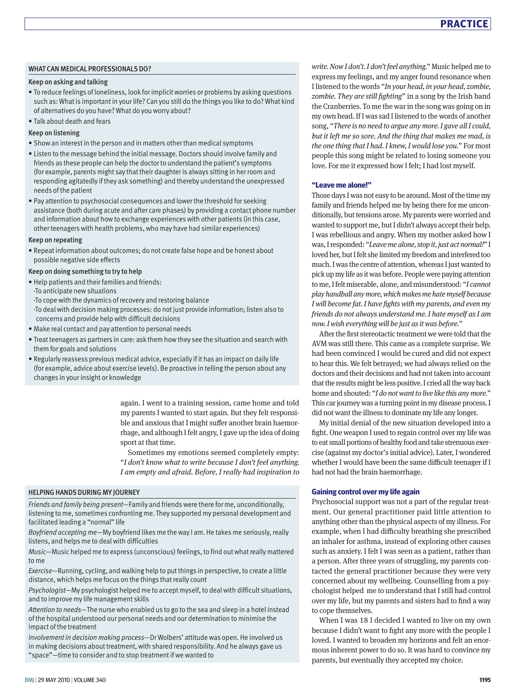#### WHAT CAN MEDICAL PROFESSIONALS DO?

#### Keep on asking and talking

- • To reduce feelings of loneliness, look for implicit worries or problems by asking questions such as: What is important in your life? Can you still do the things you like to do? What kind of alternatives do you have? What do you worry about?
- • Talk about death and fears

### Keep on listening

- • Show an interest in the person and in matters other than medical symptoms
- Listen to the message behind the initial message. Doctors should involve family and friends as these people can help the doctor to understand the patient's symptoms (for example, parents might say that their daughter is always sitting in her room and responding agitatedly if they ask something) and thereby understand the unexpressed needs of the patient
- • Pay attention to psychosocial consequences and lower the threshold for seeking assistance (both during acute and after care phases) by providing a contact phone number and information about how to exchange experiences with other patients (in this case, other teenagers with health problems, who may have had similar experiences)

#### Keep on repeating

• Repeat information about outcomes; do not create false hope and be honest about possible negative side effects

#### Keep on doing something to try to help

- • Help patients and their families and friends:
- -To anticipate new situations
- -To cope with the dynamics of recovery and restoring balance -To deal with decision making processes: do not just provide information; listen also to concerns and provide help with difficult decisions
- Make real contact and pay attention to personal needs
- • Treat teenagers as partners in care: ask them how they see the situation and search with them for goals and solutions
- Regularly reassess previous medical advice, especially if it has an impact on daily life (for example, advice about exercise levels). Be proactive in telling the person about any changes in your insight or knowledge

again. I went to a training session, came home and told my parents I wanted to start again. But they felt responsible and anxious that I might suffer another brain haemorrhage, and although I felt angry, I gave up the idea of doing sport at that time.

Sometimes my emotions seemed completely empty: "*I don't know what to write because I don't feel anything. I am empty and afraid. Before, I really had inspiration to* 

#### Helping hands during my journey

*Friends and family being present*—Family and friends were there for me, unconditionally, listening to me, sometimes confronting me. They supported my personal development and facilitated leading a "normal" life

*Boyfriend accepting me*—My boyfriend likes me the way I am. He takes me seriously, really listens, and helps me to deal with difficulties

*Music*—Music helped me to express (unconscious) feelings, to find out what really mattered to me

*Exercise*—Running, cycling, and walking help to put things in perspective, to create a little distance, which helps me focus on the things that really count

*Psychologist*—My psychologist helped me to accept myself, to deal with difficult situations, and to improve my life management skills

*Attention to needs*—The nurse who enabled us to go to the sea and sleep in a hotel instead of the hospital understood our personal needs and our determination to minimise the impact of the treatment

*Involvement in decision making process*—Dr Wolbers' attitude was open. He involved us in making decisions about treatment, with shared responsibility. And he always gave us "space"—time to consider and to stop treatment if we wanted to

*write. Now I don't. I don't feel anything.*" Music helped me to express my feelings, and my anger found resonance when I listened to the words "*In your head, in your head, zombie, zombie. They are still fighting*" in a song by the Irish band the Cranberries. To me the war in the song was going on in my own head. If I was sad I listened to the words of another song, "*There is no need to argue any more. I gave all I could, but it left me so sore. And the thing that makes me mad, is the one thing that I had. I knew, I would lose you.*" For most people this song might be related to losing someone you love. For me it expressed how I felt; I had lost myself.

#### **"Leave me alone!"**

Those days I was not easy to be around. Most of the time my family and friends helped me by being there for me unconditionally, but tensions arose. My parents were worried and wanted to support me, but I didn't always accept their help. I was rebellious and angry. When my mother asked how I was, I responded: "*Leave me alone, stop it, just act normal!*" I loved her, but I felt she limited my freedom and interfered too much. I was the centre of attention, whereas I just wanted to pick up my life as it was before. People were paying attention to me, I felt miserable, alone, and misunderstood: "*I cannot play handball any more, which makes me hate myself because I will become fat. I have fights with my parents, and even my friends do not always understand me. I hate myself as I am now. I wish everything will be just as it was before.*"

After the first stereotactic treatment we were told that the AVM was still there. This came as a complete surprise. We had been convinced I would be cured and did not expect to hear this. We felt betrayed; we had always relied on the doctors and their decisions and had not taken into account that the results might be less positive. I cried all the way back home and shouted: "*I do not want to live like this any more.*" This car journey was a turning point in my disease process. I did not want the illness to dominate my life any longer.

My initial denial of the new situation developed into a fight. One weapon I used to regain control over my life was to eat small portions of healthy food and take strenuous exercise (against my doctor's initial advice). Later, I wondered whether I would have been the same difficult teenager if I had not had the brain haemorrhage.

#### **Gaining control over my life again**

Psychosocial support was not a part of the regular treatment. Our general practitioner paid little attention to anything other than the physical aspects of my illness. For example, when I had difficulty breathing she prescribed an inhaler for asthma, instead of exploring other causes such as anxiety. I felt I was seen as a patient, rather than a person. After three years of struggling, my parents contacted the general practitioner because they were very concerned about my wellbeing. Counselling from a psychologist helped me to understand that I still had control over my life, but my parents and sisters had to find a way to cope themselves.

When I was 18 I decided I wanted to live on my own because I didn't want to fight any more with the people I loved. I wanted to broaden my horizons and felt an enormous inherent power to do so. It was hard to convince my parents, but eventually they accepted my choice.